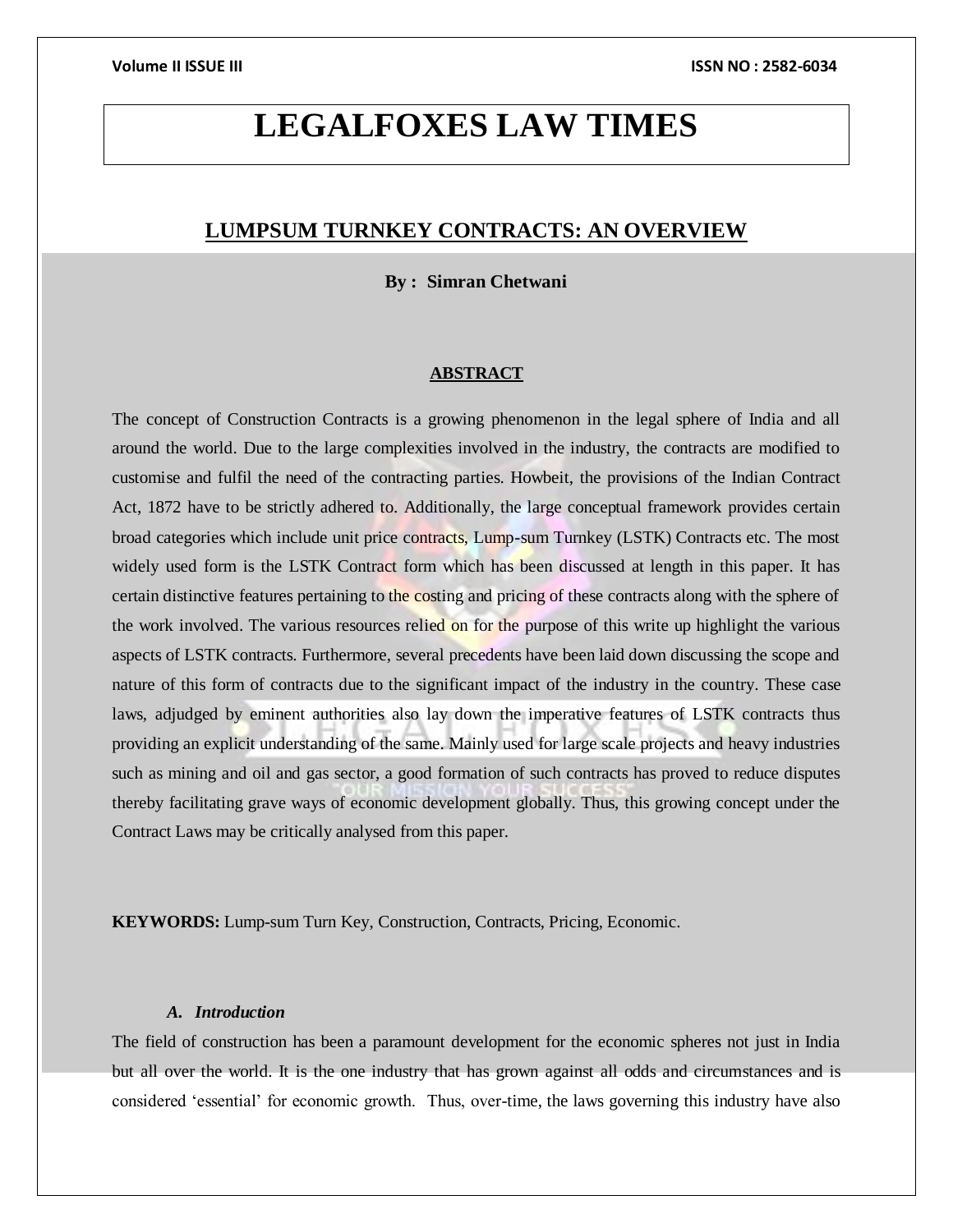# **LEGALFOXES LAW TIMES**

# **LUMPSUM TURNKEY CONTRACTS: AN OVERVIEW**

**By : Simran Chetwani**

# **ABSTRACT**

The concept of Construction Contracts is a growing phenomenon in the legal sphere of India and all around the world. Due to the large complexities involved in the industry, the contracts are modified to customise and fulfil the need of the contracting parties. Howbeit, the provisions of the Indian Contract Act, 1872 have to be strictly adhered to. Additionally, the large conceptual framework provides certain broad categories which include unit price contracts, Lump-sum Turnkey (LSTK) Contracts etc. The most widely used form is the LSTK Contract form which has been discussed at length in this paper. It has certain distinctive features pertaining to the costing and pricing of these contracts along with the sphere of the work involved. The various resources relied on for the purpose of this write up highlight the various aspects of LSTK contracts. Furthermore, several precedents have been laid down discussing the scope and nature of this form of contracts due to the significant impact of the industry in the country. These case laws, adjudged by eminent authorities also lay down the imperative features of LSTK contracts thus providing an explicit understanding of the same. Mainly used for large scale projects and heavy industries such as mining and oil and gas sector, a good formation of such contracts has proved to reduce disputes thereby facilitating grave ways of economic development globally. Thus, this growing concept under the Contract Laws may be critically analysed from this paper.

**KEYWORDS:** Lump-sum Turn Key, Construction, Contracts, Pricing, Economic.

# *A. Introduction*

The field of construction has been a paramount development for the economic spheres not just in India but all over the world. It is the one industry that has grown against all odds and circumstances and is considered 'essential' for economic growth. Thus, over-time, the laws governing this industry have also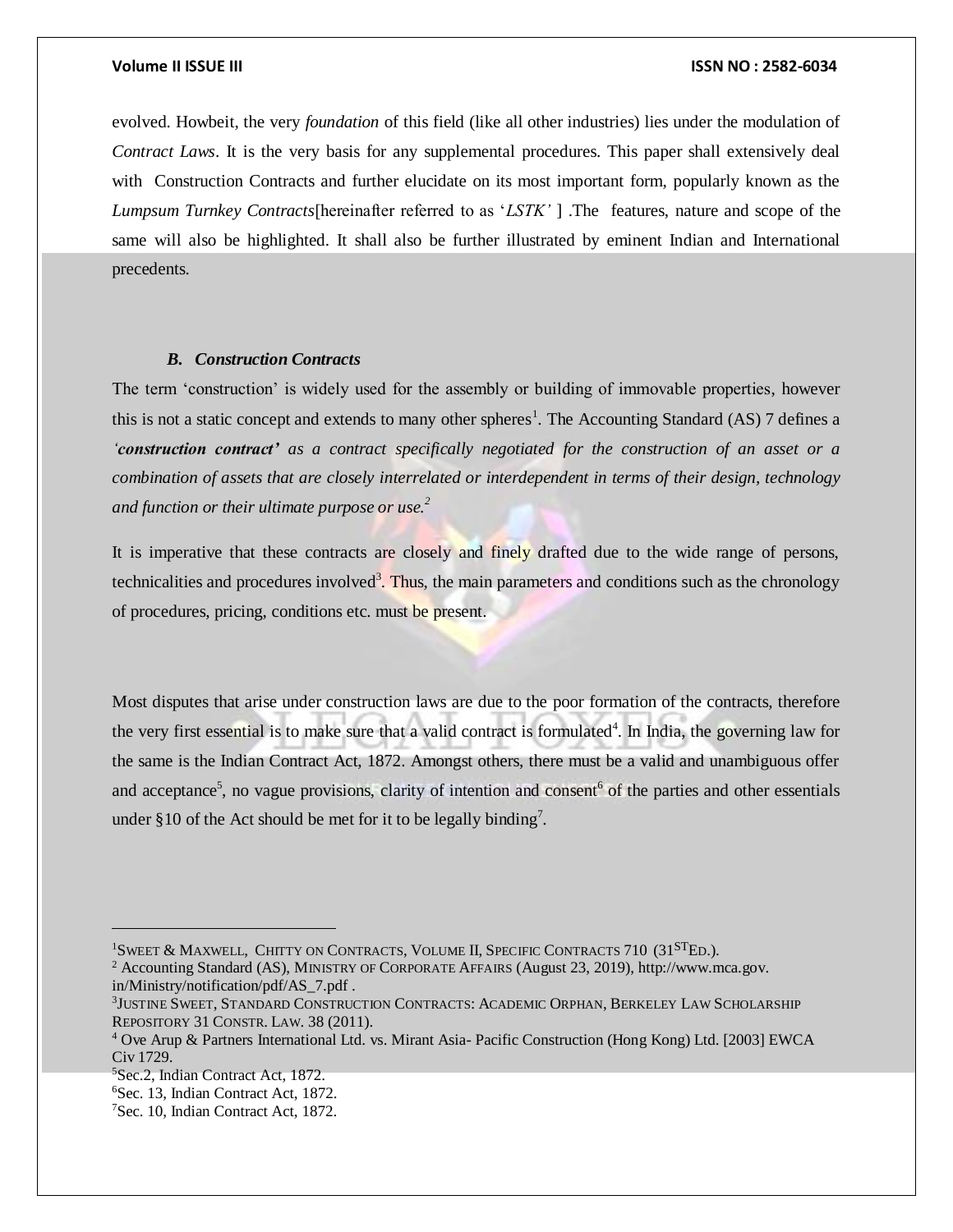evolved. Howbeit, the very *foundation* of this field (like all other industries) lies under the modulation of *Contract Laws*. It is the very basis for any supplemental procedures. This paper shall extensively deal with Construction Contracts and further elucidate on its most important form, popularly known as the *Lumpsum Turnkey Contracts*[hereinafter referred to as '*LSTK'* ] .The features, nature and scope of the same will also be highlighted. It shall also be further illustrated by eminent Indian and International precedents.

# *B. Construction Contracts*

The term 'construction' is widely used for the assembly or building of immovable properties, however this is not a static concept and extends to many other spheres<sup>1</sup>. The Accounting Standard (AS) 7 defines a *'construction contract' as a contract specifically negotiated for the construction of an asset or a combination of assets that are closely interrelated or interdependent in terms of their design, technology and function or their ultimate purpose or use.<sup>2</sup>*

It is imperative that these contracts are closely and finely drafted due to the wide range of persons, technicalities and procedures involved<sup>3</sup>. Thus, the main parameters and conditions such as the chronology of procedures, pricing, conditions etc. must be present.

Most disputes that arise under construction laws are due to the poor formation of the contracts, therefore the very first essential is to make sure that a valid contract is formulated<sup>4</sup>. In India, the governing law for the same is the Indian Contract Act, 1872. Amongst others, there must be a valid and unambiguous offer and acceptance<sup>5</sup>, no vague provisions, clarity of intention and consent<sup>6</sup> of the parties and other essentials under §10 of the Act should be met for it to be legally binding<sup>7</sup>.

<sup>&</sup>lt;sup>1</sup>SWEET & MAXWELL, CHITTY ON CONTRACTS, VOLUME II, SPECIFIC CONTRACTS 710 (31<sup>ST</sup>ED.).

<sup>2</sup> Accounting Standard (AS), MINISTRY OF CORPORATE AFFAIRS (August 23, 2019), http://www.mca.gov. in/Ministry/notification/pdf/AS\_7.pdf .

<sup>3</sup> JUSTINE SWEET, STANDARD CONSTRUCTION CONTRACTS: ACADEMIC ORPHAN, BERKELEY LAW SCHOLARSHIP REPOSITORY 31 CONSTR. LAW. 38 (2011).

<sup>4</sup> Ove Arup & Partners International Ltd. vs. Mirant Asia- Pacific Construction (Hong Kong) Ltd. [2003] EWCA Civ 1729.

<sup>5</sup>Sec.2, Indian Contract Act, 1872.

<sup>6</sup>Sec. 13, Indian Contract Act, 1872.

<sup>7</sup>Sec. 10, Indian Contract Act, 1872.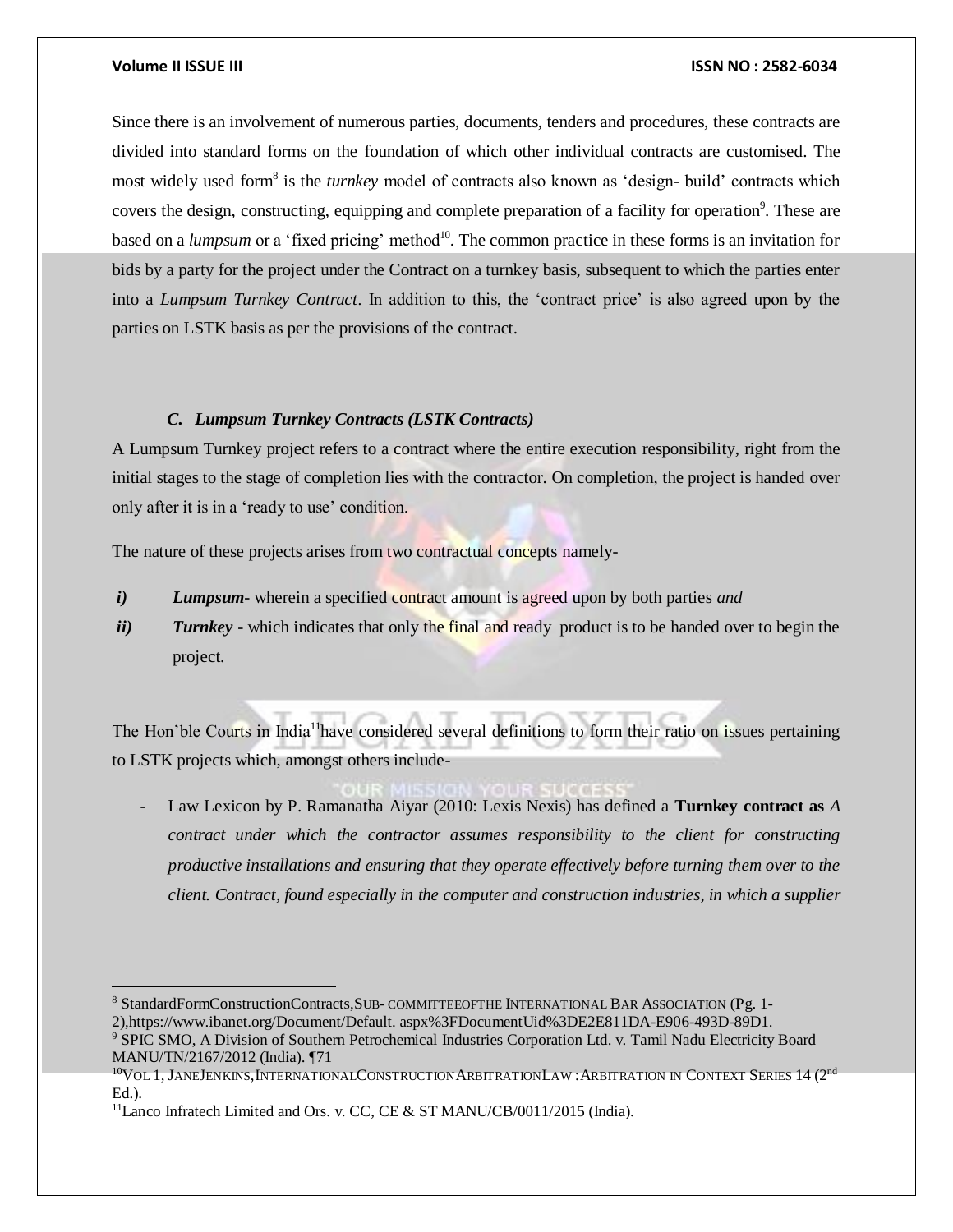### **Volume II ISSUE III ISSN NO : 2582-6034**

Since there is an involvement of numerous parties, documents, tenders and procedures, these contracts are divided into standard forms on the foundation of which other individual contracts are customised. The most widely used form<sup>8</sup> is the *turnkey* model of contracts also known as 'design- build' contracts which covers the design, constructing, equipping and complete preparation of a facility for operation<sup>9</sup>. These are based on a *lumpsum* or a 'fixed pricing' method<sup>10</sup>. The common practice in these forms is an invitation for bids by a party for the project under the Contract on a turnkey basis, subsequent to which the parties enter into a *Lumpsum Turnkey Contract*. In addition to this, the 'contract price' is also agreed upon by the parties on LSTK basis as per the provisions of the contract.

# *C. Lumpsum Turnkey Contracts (LSTK Contracts)*

A Lumpsum Turnkey project refers to a contract where the entire execution responsibility, right from the initial stages to the stage of completion lies with the contractor. On completion, the project is handed over only after it is in a 'ready to use' condition.

The nature of these projects arises from two contractual concepts namely-

- *i) Lumpsum* wherein a specified contract amount is agreed upon by both parties *and*
- *ii*) *Turnkey* which indicates that only the final and ready product is to be handed over to begin the project.

The Hon'ble Courts in India<sup>11</sup> have considered several definitions to form their ratio on issues pertaining to LSTK projects which, amongst others include-

- Law Lexicon by P. Ramanatha Aiyar (2010: Lexis Nexis) has defined a **Turnkey contract as** *A contract under which the contractor assumes responsibility to the client for constructing productive installations and ensuring that they operate effectively before turning them over to the client. Contract, found especially in the computer and construction industries, in which a supplier* 

<sup>8</sup> StandardFormConstructionContracts,SUB- COMMITTEEOFTHE INTERNATIONAL BAR ASSOCIATION (Pg. 1- 2),https://www.ibanet.org/Document/Default. aspx%3FDocumentUid%3DE2E811DA-E906-493D-89D1.

<sup>9</sup> SPIC SMO, A Division of Southern Petrochemical Industries Corporation Ltd. v. Tamil Nadu Electricity Board MANU/TN/2167/2012 (India). ¶71

 $^{10}\mathrm{Vol}$  1, JaneJenkins,InternationalConstructionArbitrationLaw : Arbitration in Context Series 14 (2nd Ed.).

<sup>&</sup>lt;sup>11</sup>Lanco Infratech Limited and Ors. v. CC, CE & ST MANU/CB/0011/2015 (India).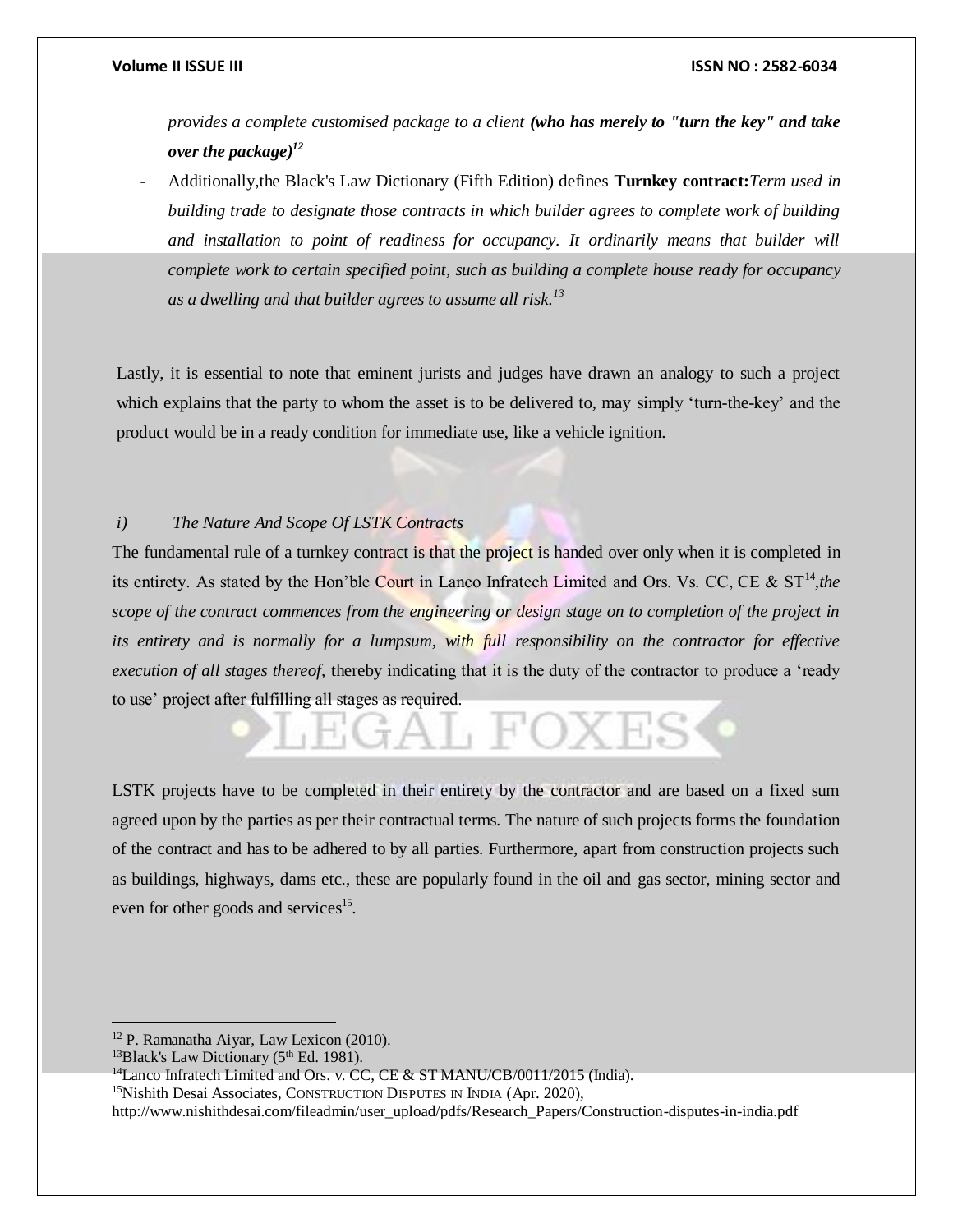*provides a complete customised package to a client (who has merely to "turn the key" and take over the package)<sup>12</sup>*

- Additionally,the Black's Law Dictionary (Fifth Edition) defines **Turnkey contract:***Term used in building trade to designate those contracts in which builder agrees to complete work of building and installation to point of readiness for occupancy. It ordinarily means that builder will complete work to certain specified point, such as building a complete house ready for occupancy as a dwelling and that builder agrees to assume all risk.<sup>13</sup>*

Lastly, it is essential to note that eminent jurists and judges have drawn an analogy to such a project which explains that the party to whom the asset is to be delivered to, may simply 'turn-the-key' and the product would be in a ready condition for immediate use, like a vehicle ignition.

# *i) The Nature And Scope Of LSTK Contracts*

The fundamental rule of a turnkey contract is that the project is handed over only when it is completed in its entirety. As stated by the Hon'ble Court in Lanco Infratech Limited and Ors. Vs. CC, CE & ST<sup>14</sup>, the *scope of the contract commences from the engineering or design stage on to completion of the project in its entirety and is normally for a lumpsum, with full responsibility on the contractor for effective execution of all stages thereof,* thereby indicating that it is the duty of the contractor to produce a 'ready to use' project after fulfilling all stages as required.

LSTK projects have to be completed in their entirety by the contractor and are based on a fixed sum agreed upon by the parties as per their contractual terms. The nature of such projects forms the foundation of the contract and has to be adhered to by all parties. Furthermore, apart from construction projects such as buildings, highways, dams etc., these are popularly found in the oil and gas sector, mining sector and even for other goods and services<sup>15</sup>.

 $\overline{a}$ 

<sup>12</sup> P. Ramanatha Aiyar, Law Lexicon (2010).

<sup>&</sup>lt;sup>13</sup>Black's Law Dictionary ( $5<sup>th</sup>$  Ed. 1981).

<sup>&</sup>lt;sup>14</sup>Lanco Infratech Limited and Ors. v. CC, CE & ST MANU/CB/0011/2015 (India).

<sup>15</sup>Nishith Desai Associates, CONSTRUCTION DISPUTES IN INDIA (Apr. 2020),

http://www.nishithdesai.com/fileadmin/user\_upload/pdfs/Research\_Papers/Construction-disputes-in-india.pdf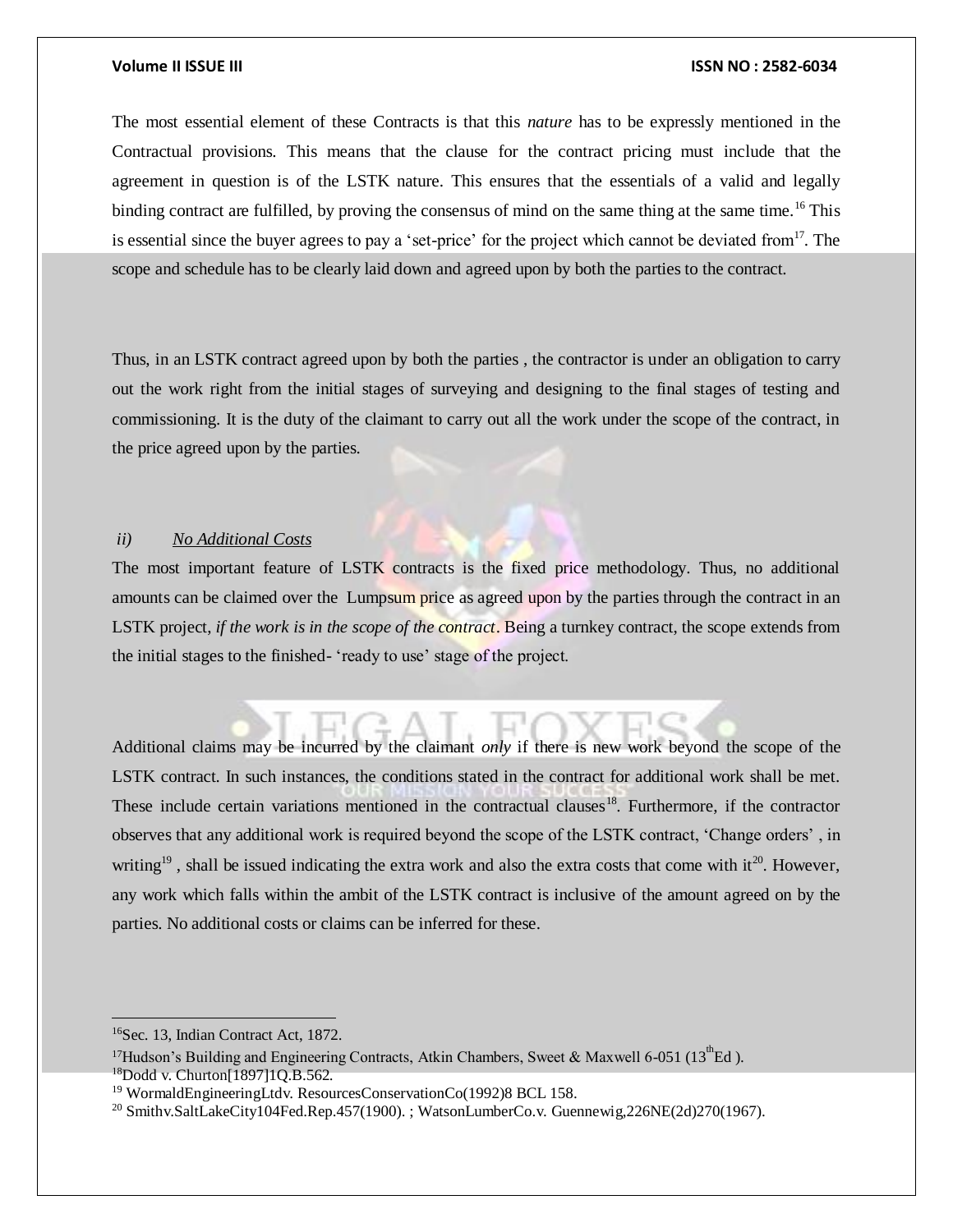The most essential element of these Contracts is that this *nature* has to be expressly mentioned in the Contractual provisions. This means that the clause for the contract pricing must include that the agreement in question is of the LSTK nature. This ensures that the essentials of a valid and legally binding contract are fulfilled, by proving the consensus of mind on the same thing at the same time.<sup>16</sup> This is essential since the buyer agrees to pay a 'set-price' for the project which cannot be deviated from  $17$ . The scope and schedule has to be clearly laid down and agreed upon by both the parties to the contract.

Thus, in an LSTK contract agreed upon by both the parties , the contractor is under an obligation to carry out the work right from the initial stages of surveying and designing to the final stages of testing and commissioning. It is the duty of the claimant to carry out all the work under the scope of the contract, in the price agreed upon by the parties.

# *ii) No Additional Costs*

The most important feature of LSTK contracts is the fixed price methodology. Thus, no additional amounts can be claimed over the Lumpsum price as agreed upon by the parties through the contract in an LSTK project, *if the work is in the scope of the contract*. Being a turnkey contract, the scope extends from the initial stages to the finished- 'ready to use' stage of the project.

Additional claims may be incurred by the claimant *only* if there is new work beyond the scope of the LSTK contract. In such instances, the conditions stated in the contract for additional work shall be met. These include certain variations mentioned in the contractual clauses<sup>18</sup>. Furthermore, if the contractor observes that any additional work is required beyond the scope of the LSTK contract, 'Change orders' , in writing<sup>19</sup>, shall be issued indicating the extra work and also the extra costs that come with it<sup>20</sup>. However, any work which falls within the ambit of the LSTK contract is inclusive of the amount agreed on by the parties. No additional costs or claims can be inferred for these.

<sup>16</sup>Sec. 13, Indian Contract Act, 1872.

<sup>&</sup>lt;sup>17</sup>Hudson's Building and Engineering Contracts, Atkin Chambers, Sweet & Maxwell 6-051 (13<sup>th</sup>Ed).  $^{18}$ Dodd v. Churton[1897]1O.B.562.

<sup>&</sup>lt;sup>19</sup> WormaldEngineeringLtdv. ResourcesConservationCo(1992)8 BCL 158.

<sup>&</sup>lt;sup>20</sup> Smithv.SaltLakeCity104Fed.Rep.457(1900). ; WatsonLumberCo.v. Guennewig,226NE(2d)270(1967).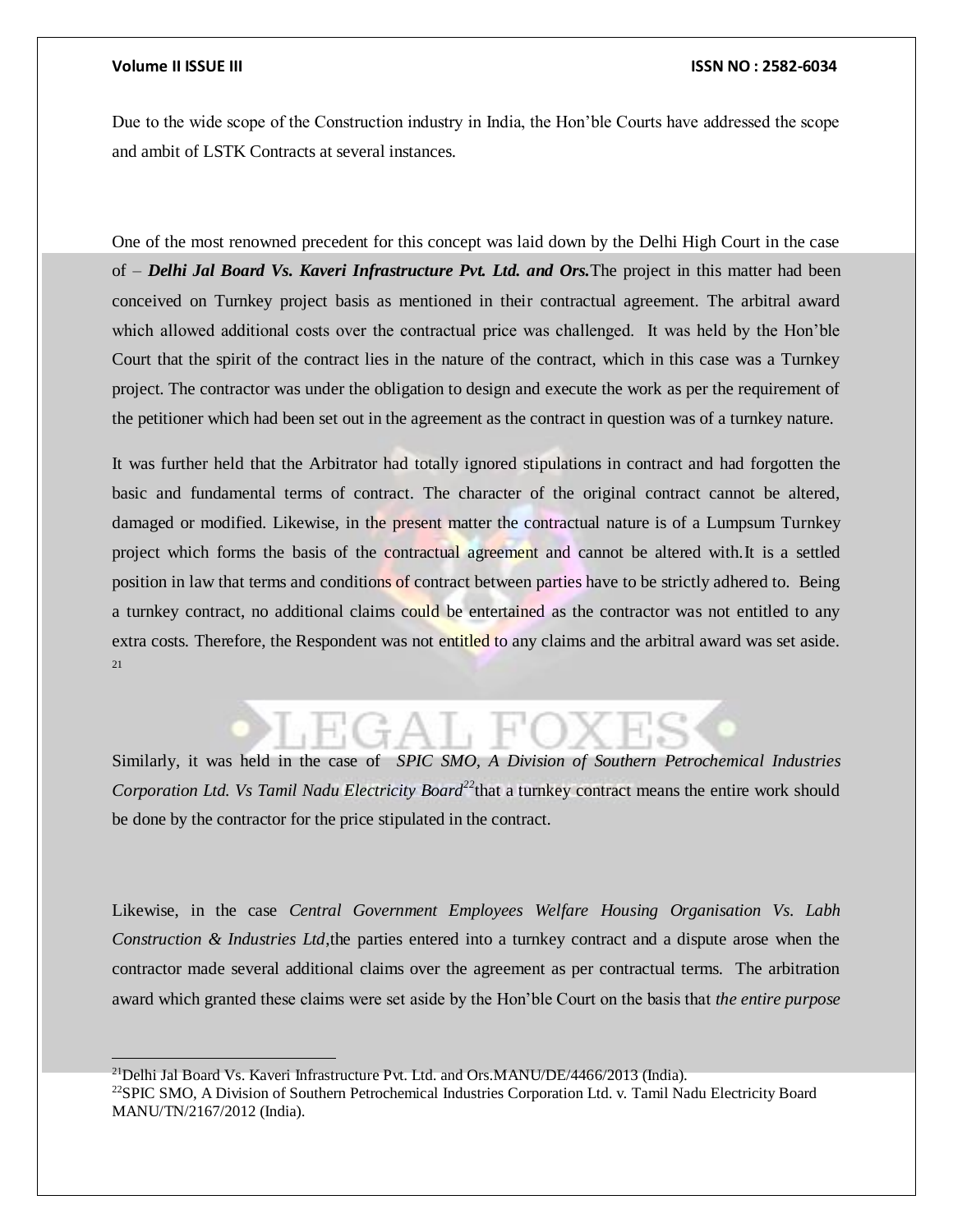Due to the wide scope of the Construction industry in India, the Hon'ble Courts have addressed the scope and ambit of LSTK Contracts at several instances.

One of the most renowned precedent for this concept was laid down by the Delhi High Court in the case of – *Delhi Jal Board Vs. Kaveri Infrastructure Pvt. Ltd. and Ors.*The project in this matter had been conceived on Turnkey project basis as mentioned in their contractual agreement. The arbitral award which allowed additional costs over the contractual price was challenged. It was held by the Hon'ble Court that the spirit of the contract lies in the nature of the contract, which in this case was a Turnkey project. The contractor was under the obligation to design and execute the work as per the requirement of the petitioner which had been set out in the agreement as the contract in question was of a turnkey nature.

It was further held that the Arbitrator had totally ignored stipulations in contract and had forgotten the basic and fundamental terms of contract. The character of the original contract cannot be altered, damaged or modified. Likewise, in the present matter the contractual nature is of a Lumpsum Turnkey project which forms the basis of the contractual agreement and cannot be altered with.It is a settled position in law that terms and conditions of contract between parties have to be strictly adhered to. Being a turnkey contract, no additional claims could be entertained as the contractor was not entitled to any extra costs. Therefore, the Respondent was not entitled to any claims and the arbitral award was set aside. 21

Similarly, it was held in the case of *SPIC SMO, A Division of Southern Petrochemical Industries Corporation Ltd. Vs Tamil Nadu Electricity Board<sup>22</sup>*that a turnkey contract means the entire work should be done by the contractor for the price stipulated in the contract.

Likewise, in the case *Central Government Employees Welfare Housing Organisation Vs. Labh Construction & Industries Ltd*,the parties entered into a turnkey contract and a dispute arose when the contractor made several additional claims over the agreement as per contractual terms. The arbitration award which granted these claims were set aside by the Hon'ble Court on the basis that *the entire purpose* 

<sup>&</sup>lt;sup>21</sup>Delhi Jal Board Vs. Kaveri Infrastructure Pvt. Ltd. and Ors.MANU/DE/4466/2013 (India).

<sup>&</sup>lt;sup>22</sup>SPIC SMO, A Division of Southern Petrochemical Industries Corporation Ltd. v. Tamil Nadu Electricity Board MANU/TN/2167/2012 (India).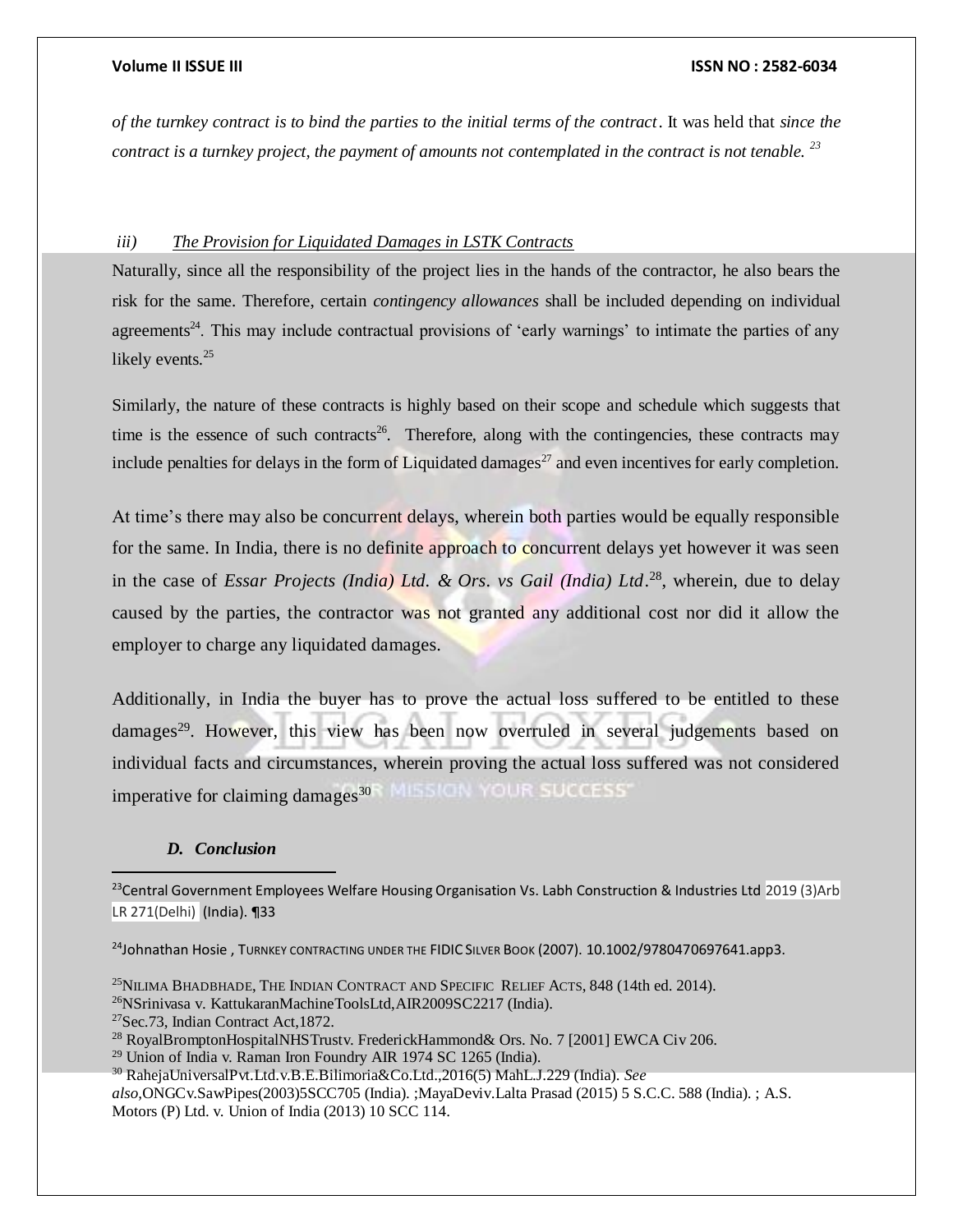*of the turnkey contract is to bind the parties to the initial terms of the contract*. It was held that *since the contract is a turnkey project, the payment of amounts not contemplated in the contract is not tenable. <sup>23</sup>*

# *iii) The Provision for Liquidated Damages in LSTK Contracts*

Naturally, since all the responsibility of the project lies in the hands of the contractor, he also bears the risk for the same. Therefore, certain *contingency allowances* shall be included depending on individual agreements<sup>24</sup>. This may include contractual provisions of 'early warnings' to intimate the parties of any likely events.<sup>25</sup>

Similarly, the nature of these contracts is highly based on their scope and schedule which suggests that time is the essence of such contracts<sup>26</sup>. Therefore, along with the contingencies, these contracts may include penalties for delays in the form of Liquidated damages<sup>27</sup> and even incentives for early completion.

At time's there may also be concurrent delays, wherein both parties would be equally responsible for the same. In India, there is no definite approach to concurrent delays yet however it was seen in the case of *Essar Projects (India) Ltd. & Ors. vs Gail (India) Ltd*. <sup>28</sup>, wherein, due to delay caused by the parties, the contractor was not granted any additional cost nor did it allow the employer to charge any liquidated damages.

Additionally, in India the buyer has to prove the actual loss suffered to be entitled to these damages<sup>29</sup>. However, this view has been now overruled in several judgements based on individual facts and circumstances, wherein proving the actual loss suffered was not considered imperative for claiming damages<sup>30</sup><sup>8</sup> MLSICIN YOUR SUCCESS

# *D. Conclusion*

<sup>23</sup>Central Government Employees Welfare Housing Organisation Vs. Labh Construction & Industries Ltd 2019 (3)Arb LR 271(Delhi) (India). ¶33

<sup>24</sup>Johnathan Hosie, TURNKEY CONTRACTING UNDER THE FIDIC SILVER BOOK (2007). 10.1002/9780470697641.app3.

<sup>&</sup>lt;sup>25</sup>NILIMA BHADBHADE, THE INDIAN CONTRACT AND SPECIFIC RELIEF ACTS,  $848$  (14th ed. 2014).

<sup>26</sup>NSrinivasa v. KattukaranMachineToolsLtd,AIR2009SC2217 (India).

<sup>27</sup>Sec.73, Indian Contract Act,1872.

<sup>28</sup> RoyalBromptonHospitalNHSTrustv. FrederickHammond& Ors. No. 7 [2001] EWCA Civ 206.

 $29$  Union of India v. Raman Iron Foundry AIR 1974 SC 1265 (India).

<sup>30</sup> RahejaUniversalPvt.Ltd.v.B.E.Bilimoria&Co.Ltd.,2016(5) MahL.J.229 (India). *See* 

*also,*ONGCv.SawPipes(2003)5SCC705 (India). ;MayaDeviv.Lalta Prasad (2015) 5 S.C.C. 588 (India). ; A.S. Motors (P) Ltd. v. Union of India (2013) 10 SCC 114.